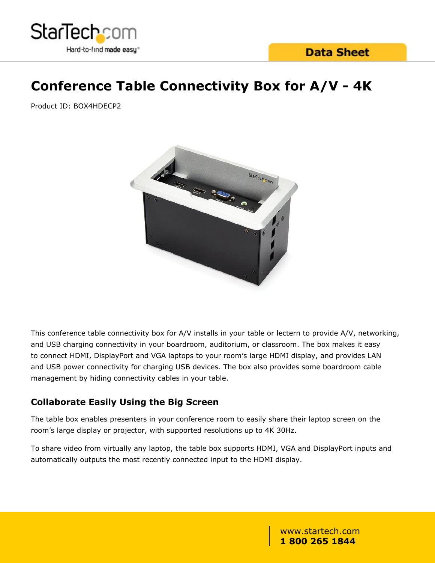

# **Conference Table Connectivity Box for A/V - 4K**

Product ID: BOX4HDECP2



This conference table connectivity box for A/V installs in your table or lectern to provide A/V, networking, and USB charging connectivity in your boardroom, auditorium, or classroom. The box makes it easy to connect HDMI, DisplayPort and VGA laptops to your room's large HDMI display, and provides LAN and USB power connectivity for charging USB devices. The box also provides some boardroom cable management by hiding connectivity cables in your table.

### **Collaborate Easily Using the Big Screen**

The table box enables presenters in your conference room to easily share their laptop screen on the room's large display or projector, with supported resolutions up to 4K 30Hz.

To share video from virtually any laptop, the table box supports HDMI, VGA and DisplayPort inputs and automatically outputs the most recently connected input to the HDMI display.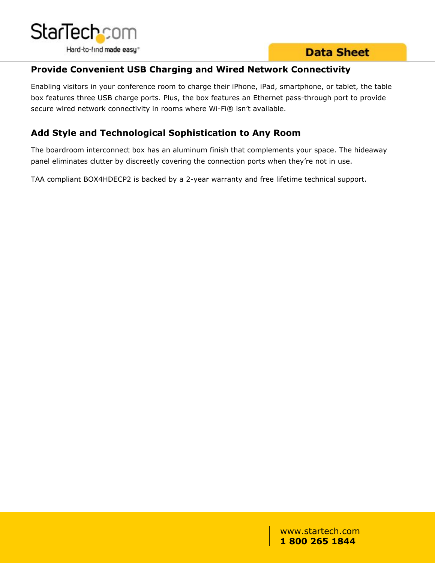

# **Data Sheet**

### **Provide Convenient USB Charging and Wired Network Connectivity**

Enabling visitors in your conference room to charge their iPhone, iPad, smartphone, or tablet, the table box features three USB charge ports. Plus, the box features an Ethernet pass-through port to provide secure wired network connectivity in rooms where Wi-Fi® isn't available.

## **Add Style and Technological Sophistication to Any Room**

The boardroom interconnect box has an aluminum finish that complements your space. The hideaway panel eliminates clutter by discreetly covering the connection ports when they're not in use.

TAA compliant BOX4HDECP2 is backed by a 2-year warranty and free lifetime technical support.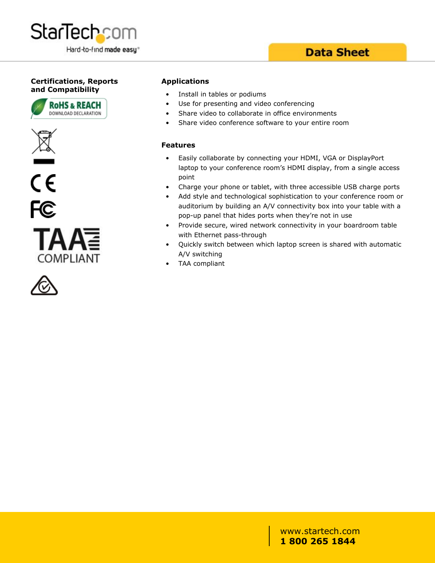

# **Data Sheet**

### **Certifications, Reports and Compatibility**









#### **Applications**

- Install in tables or podiums
- Use for presenting and video conferencing
- Share video to collaborate in office environments
- Share video conference software to your entire room

#### **Features**

- Easily collaborate by connecting your HDMI, VGA or DisplayPort laptop to your conference room's HDMI display, from a single access point
- Charge your phone or tablet, with three accessible USB charge ports
- Add style and technological sophistication to your conference room or auditorium by building an A/V connectivity box into your table with a pop-up panel that hides ports when they're not in use
- Provide secure, wired network connectivity in your boardroom table with Ethernet pass-through
- Quickly switch between which laptop screen is shared with automatic A/V switching
- TAA compliant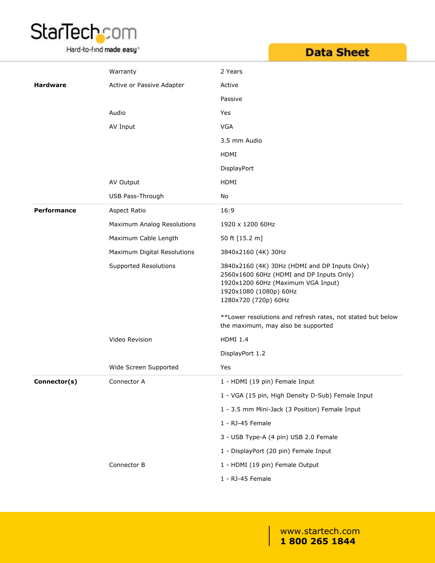

Hard-to-find made easy<sup>®</sup>

|  | <b>Data Sheet</b> |  |  |  |
|--|-------------------|--|--|--|

|                    | Warranty                    | 2 Years                                                                                                                                                                           |
|--------------------|-----------------------------|-----------------------------------------------------------------------------------------------------------------------------------------------------------------------------------|
| <b>Hardware</b>    | Active or Passive Adapter   | Active                                                                                                                                                                            |
|                    |                             | Passive                                                                                                                                                                           |
|                    | Audio                       | Yes                                                                                                                                                                               |
|                    | AV Input                    | <b>VGA</b>                                                                                                                                                                        |
|                    |                             | 3.5 mm Audio                                                                                                                                                                      |
|                    |                             | HDMI                                                                                                                                                                              |
|                    |                             | DisplayPort                                                                                                                                                                       |
|                    | AV Output                   | HDMI                                                                                                                                                                              |
|                    | USB Pass-Through            | No                                                                                                                                                                                |
| <b>Performance</b> | Aspect Ratio                | 16:9                                                                                                                                                                              |
|                    | Maximum Analog Resolutions  | 1920 x 1200 60Hz                                                                                                                                                                  |
|                    | Maximum Cable Length        | 50 ft [15.2 m]                                                                                                                                                                    |
|                    | Maximum Digital Resolutions | 3840x2160 (4K) 30Hz                                                                                                                                                               |
|                    | Supported Resolutions       | 3840x2160 (4K) 30Hz (HDMI and DP Inputs Only)<br>2560x1600 60Hz (HDMI and DP Inputs Only)<br>1920x1200 60Hz (Maximum VGA Input)<br>1920x1080 (1080p) 60Hz<br>1280x720 (720p) 60Hz |
|                    |                             | **Lower resolutions and refresh rates, not stated but below<br>the maximum, may also be supported                                                                                 |
|                    | Video Revision              | <b>HDMI 1.4</b>                                                                                                                                                                   |
|                    |                             | DisplayPort 1.2                                                                                                                                                                   |
|                    | Wide Screen Supported       | Yes                                                                                                                                                                               |
| Connector(s)       | Connector A                 | 1 - HDMI (19 pin) Female Input                                                                                                                                                    |
|                    |                             | 1 - VGA (15 pin, High Density D-Sub) Female Input                                                                                                                                 |
|                    |                             | 1 - 3.5 mm Mini-Jack (3 Position) Female Input                                                                                                                                    |
|                    |                             | 1 - RJ-45 Female                                                                                                                                                                  |
|                    |                             | 3 - USB Type-A (4 pin) USB 2.0 Female                                                                                                                                             |
|                    |                             | 1 - DisplayPort (20 pin) Female Input                                                                                                                                             |
|                    | Connector B                 | 1 - HDMI (19 pin) Female Output                                                                                                                                                   |
|                    |                             | 1 - RJ-45 Female                                                                                                                                                                  |